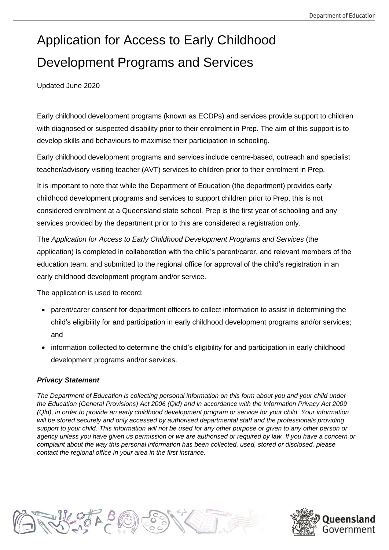# Application for Access to Early Childhood Development Programs and Services

Updated June 2020

Early childhood development programs (known as ECDPs) and services provide support to children with diagnosed or suspected disability prior to their enrolment in Prep. The aim of this support is to develop skills and behaviours to maximise their participation in schooling.

Early childhood development programs and services include centre-based, outreach and specialist teacher/advisory visiting teacher (AVT) services to children prior to their enrolment in Prep.

It is important to note that while the Department of Education (the department) provides early childhood development programs and services to support children prior to Prep, this is not considered enrolment at a Queensland state school. Prep is the first year of schooling and any services provided by the department prior to this are considered a registration only.

The *Application for Access to Early Childhood Development Programs and Services* (the application) is completed in collaboration with the child's parent/carer, and relevant members of the education team, and submitted to the regional office for approval of the child's registration in an early childhood development program and/or service.

The application is used to record:

- parent/carer consent for department officers to collect information to assist in determining the child's eligibility for and participation in early childhood development programs and/or services; and
- information collected to determine the child's eligibility for and participation in early childhood development programs and/or services.

#### *Privacy Statement*

*The Department of Education is collecting personal information on this form about you and your child under the Education (General Provisions) Act 2006 (Qld) and in accordance with the Information Privacy Act 2009 (Qld), in order to provide an early childhood development program or service for your child. Your information*  will be stored securely and only accessed by authorised departmental staff and the professionals providing *support to your child. This information will not be used for any other purpose or given to any other person or agency unless you have given us permission or we are authorised or required by law. If you have a concern or complaint about the way this personal information has been collected, used, stored or disclosed, please contact the regional office in your area in the first instance.*



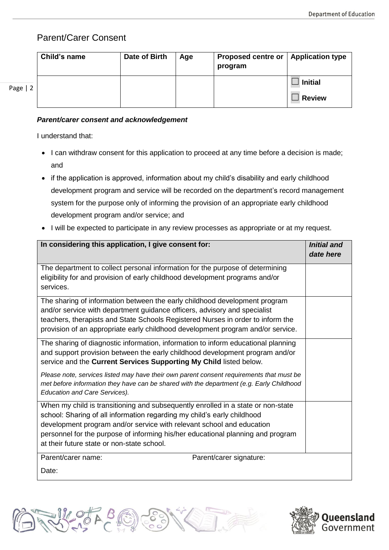### Parent/Carer Consent

|           | Child's name | Date of Birth | Age | Proposed centre or   Application type<br>program |                |
|-----------|--------------|---------------|-----|--------------------------------------------------|----------------|
| Page $ 2$ |              |               |     |                                                  | <b>Initial</b> |
|           |              |               |     |                                                  | <b>Review</b>  |

#### *Parent/carer consent and acknowledgement*

I understand that:

- I can withdraw consent for this application to proceed at any time before a decision is made; and
- if the application is approved, information about my child's disability and early childhood development program and service will be recorded on the department's record management system for the purpose only of informing the provision of an appropriate early childhood development program and/or service; and
- I will be expected to participate in any review processes as appropriate or at my request.

| In considering this application, I give consent for:                                                                                                                                                                                                                                                                                                                  | <b>Initial and</b><br>date here |
|-----------------------------------------------------------------------------------------------------------------------------------------------------------------------------------------------------------------------------------------------------------------------------------------------------------------------------------------------------------------------|---------------------------------|
| The department to collect personal information for the purpose of determining<br>eligibility for and provision of early childhood development programs and/or<br>services.                                                                                                                                                                                            |                                 |
| The sharing of information between the early childhood development program<br>and/or service with department guidance officers, advisory and specialist<br>teachers, therapists and State Schools Registered Nurses in order to inform the<br>provision of an appropriate early childhood development program and/or service.                                         |                                 |
| The sharing of diagnostic information, information to inform educational planning<br>and support provision between the early childhood development program and/or<br>service and the Current Services Supporting My Child listed below.                                                                                                                               |                                 |
| Please note, services listed may have their own parent consent requirements that must be<br>met before information they have can be shared with the department (e.g. Early Childhood<br><b>Education and Care Services).</b>                                                                                                                                          |                                 |
| When my child is transitioning and subsequently enrolled in a state or non-state<br>school: Sharing of all information regarding my child's early childhood<br>development program and/or service with relevant school and education<br>personnel for the purpose of informing his/her educational planning and program<br>at their future state or non-state school. |                                 |
| Parent/carer name:<br>Parent/carer signature:<br>Date:                                                                                                                                                                                                                                                                                                                |                                 |



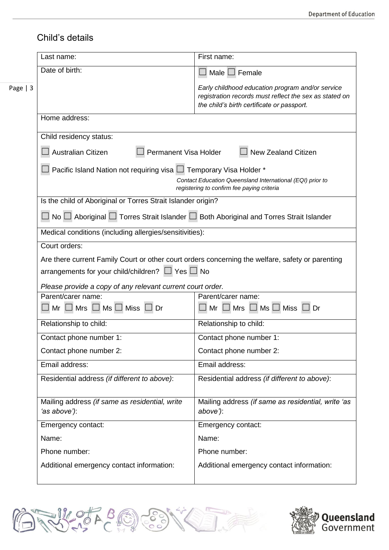## Child's details

|           | Last name:                                                                                                  | First name:                                                                                                                                              |  |  |
|-----------|-------------------------------------------------------------------------------------------------------------|----------------------------------------------------------------------------------------------------------------------------------------------------------|--|--|
|           | Date of birth:                                                                                              | Male $\Box$ Female                                                                                                                                       |  |  |
| Page $ 3$ |                                                                                                             | Early childhood education program and/or service<br>registration records must reflect the sex as stated on<br>the child's birth certificate or passport. |  |  |
|           | Home address:                                                                                               |                                                                                                                                                          |  |  |
|           | Child residency status:                                                                                     |                                                                                                                                                          |  |  |
|           | Australian Citizen<br>Permanent Visa Holder<br><b>New Zealand Citizen</b>                                   |                                                                                                                                                          |  |  |
|           | Pacific Island Nation not requiring visa $\square$ Temporary Visa Holder *                                  |                                                                                                                                                          |  |  |
|           | Contact Education Queensland International (EQI) prior to<br>registering to confirm fee paying criteria     |                                                                                                                                                          |  |  |
|           | Is the child of Aboriginal or Torres Strait Islander origin?                                                |                                                                                                                                                          |  |  |
|           | $\Box$ No $\Box$ Aboriginal $\Box$ Torres Strait Islander $\Box$ Both Aboriginal and Torres Strait Islander |                                                                                                                                                          |  |  |
|           | Medical conditions (including allergies/sensitivities):                                                     |                                                                                                                                                          |  |  |
|           | Court orders:                                                                                               |                                                                                                                                                          |  |  |
|           | Are there current Family Court or other court orders concerning the welfare, safety or parenting            |                                                                                                                                                          |  |  |
|           | arrangements for your child/children? $\Box$ Yes $\Box$ No                                                  |                                                                                                                                                          |  |  |
|           | Please provide a copy of any relevant current court order.                                                  |                                                                                                                                                          |  |  |
|           | Parent/carer name:<br>$\Box$ Mr $\Box$ Mrs $\Box$ Ms $\Box$ Miss $\Box$ Dr                                  | Parent/carer name:<br>$Mr \Box Mrs \Box Ms \Box Miss \Box Dr$                                                                                            |  |  |
|           |                                                                                                             |                                                                                                                                                          |  |  |
|           | Relationship to child:                                                                                      | Relationship to child:                                                                                                                                   |  |  |
|           | Contact phone number 1:                                                                                     | Contact phone number 1:                                                                                                                                  |  |  |
|           | Contact phone number 2:                                                                                     | Contact phone number 2:                                                                                                                                  |  |  |
|           | Email address:                                                                                              | Email address:                                                                                                                                           |  |  |
|           | Residential address (if different to above):                                                                | Residential address (if different to above):                                                                                                             |  |  |
|           | Mailing address (if same as residential, write<br>'as above'):                                              | Mailing address (if same as residential, write 'as<br>above'):                                                                                           |  |  |
|           | Emergency contact:                                                                                          | Emergency contact:                                                                                                                                       |  |  |
|           | Name:                                                                                                       | Name:                                                                                                                                                    |  |  |
|           | Phone number:                                                                                               | Phone number:                                                                                                                                            |  |  |
|           | Additional emergency contact information:                                                                   | Additional emergency contact information:                                                                                                                |  |  |
|           |                                                                                                             |                                                                                                                                                          |  |  |



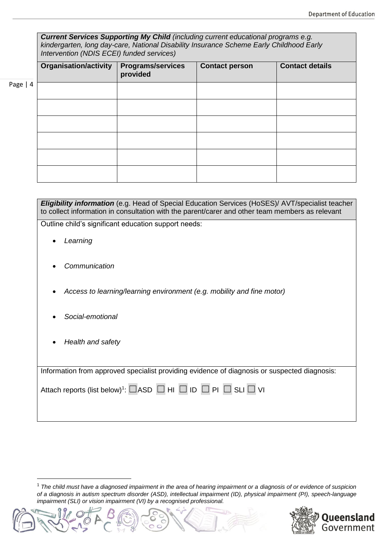|           | <b>Current Services Supporting My Child</b> (including current educational programs e.g.<br>kindergarten, long day-care, National Disability Insurance Scheme Early Childhood Early<br>Intervention (NDIS ECEI) funded services) |                                      |                       |                        |  |
|-----------|----------------------------------------------------------------------------------------------------------------------------------------------------------------------------------------------------------------------------------|--------------------------------------|-----------------------|------------------------|--|
|           | Organisation/activity                                                                                                                                                                                                            | <b>Programs/services</b><br>provided | <b>Contact person</b> | <b>Contact details</b> |  |
| Page $ 4$ |                                                                                                                                                                                                                                  |                                      |                       |                        |  |
|           |                                                                                                                                                                                                                                  |                                      |                       |                        |  |
|           |                                                                                                                                                                                                                                  |                                      |                       |                        |  |
|           |                                                                                                                                                                                                                                  |                                      |                       |                        |  |
|           |                                                                                                                                                                                                                                  |                                      |                       |                        |  |
|           |                                                                                                                                                                                                                                  |                                      |                       |                        |  |

| <b>Eligibility information</b> (e.g. Head of Special Education Services (HoSES)/ AVT/specialist teacher<br>to collect information in consultation with the parent/carer and other team members as relevant |  |  |
|------------------------------------------------------------------------------------------------------------------------------------------------------------------------------------------------------------|--|--|
| Outline child's significant education support needs:                                                                                                                                                       |  |  |
| Learning                                                                                                                                                                                                   |  |  |
| Communication                                                                                                                                                                                              |  |  |
| Access to learning/learning environment (e.g. mobility and fine motor)                                                                                                                                     |  |  |
| Social-emotional                                                                                                                                                                                           |  |  |
| Health and safety                                                                                                                                                                                          |  |  |
| Information from approved specialist providing evidence of diagnosis or suspected diagnosis:                                                                                                               |  |  |
| Attach reports (list below) <sup>1</sup> : $\Box$ ASD $\Box$ HI $\Box$ ID $\Box$ PI $\Box$ SLI $\Box$ VI                                                                                                   |  |  |

<sup>1</sup> *The child must have a diagnosed impairment in the area of hearing impairment or a diagnosis of or evidence of suspicion of a diagnosis in autism spectrum disorder (ASD), intellectual impairment (ID), physical impairment (PI), speech-language impairment (SLI) or vision impairment (VI) by a recognised professional.*





**.**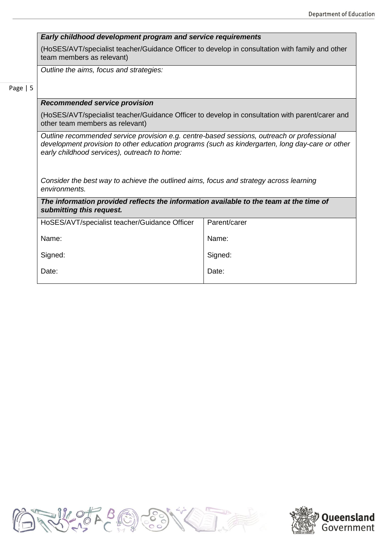|  |  | Early childhood development program and service requirements |
|--|--|--------------------------------------------------------------|
|  |  |                                                              |

(HoSES/AVT/specialist teacher/Guidance Officer to develop in consultation with family and other team members as relevant)

*Outline the aims, focus and strategies:*

Page | 5

#### *Recommended service provision*

(HoSES/AVT/specialist teacher/Guidance Officer to develop in consultation with parent/carer and other team members as relevant)

*Outline recommended service provision e.g. centre-based sessions, outreach or professional development provision to other education programs (such as kindergarten, long day-care or other early childhood services), outreach to home:*

*Consider the best way to achieve the outlined aims, focus and strategy across learning environments.*

*The information provided reflects the information available to the team at the time of submitting this request.*

| Parent/carer |
|--------------|
| Name:        |
| Signed:      |
| Date:        |
|              |



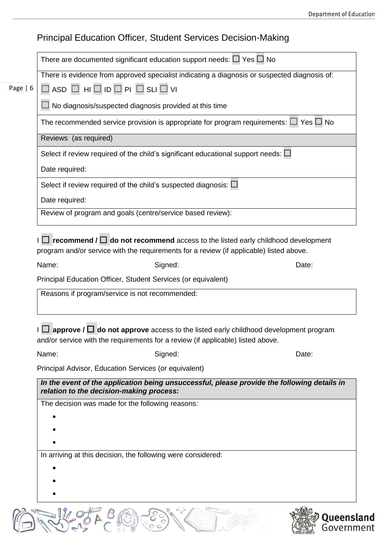|           | <b>Principal Education Officer, Student Services Decision-Making</b>                                                                              |  |  |  |  |  |
|-----------|---------------------------------------------------------------------------------------------------------------------------------------------------|--|--|--|--|--|
|           | There are documented significant education support needs: $\square$ Yes $\square$ No                                                              |  |  |  |  |  |
|           | There is evidence from approved specialist indicating a diagnosis or suspected diagnosis of:                                                      |  |  |  |  |  |
| Page $ 6$ | $\Box$ ASD $\Box$ HI $\Box$ ID $\Box$ PI $\Box$ SLI $\Box$ VI                                                                                     |  |  |  |  |  |
|           | No diagnosis/suspected diagnosis provided at this time                                                                                            |  |  |  |  |  |
|           | The recommended service provision is appropriate for program requirements: $\Box$ Yes $\Box$ No                                                   |  |  |  |  |  |
|           | Reviews (as required)                                                                                                                             |  |  |  |  |  |
|           | Select if review required of the child's significant educational support needs: $\Box$                                                            |  |  |  |  |  |
|           | Date required:                                                                                                                                    |  |  |  |  |  |
|           | Select if review required of the child's suspected diagnosis: $\Box$                                                                              |  |  |  |  |  |
|           | Date required:                                                                                                                                    |  |  |  |  |  |
|           | Review of program and goals (centre/service based review):                                                                                        |  |  |  |  |  |
|           | program and/or service with the requirements for a review (if applicable) listed above.<br>Name:<br>Signed:<br>Date:                              |  |  |  |  |  |
|           |                                                                                                                                                   |  |  |  |  |  |
|           | Principal Education Officer, Student Services (or equivalent)                                                                                     |  |  |  |  |  |
|           | Reasons if program/service is not recommended:<br>$\Box$ approve / $\Box$ do not approve access to the listed early childhood development program |  |  |  |  |  |
|           | and/or service with the requirements for a review (if applicable) listed above.<br>Name:<br>Signed:<br>Date:                                      |  |  |  |  |  |
|           | Principal Advisor, Education Services (or equivalent)                                                                                             |  |  |  |  |  |
|           | In the event of the application being unsuccessful, please provide the following details in<br>relation to the decision-making process:           |  |  |  |  |  |
|           | The decision was made for the following reasons:                                                                                                  |  |  |  |  |  |
|           |                                                                                                                                                   |  |  |  |  |  |
|           |                                                                                                                                                   |  |  |  |  |  |
|           | In arriving at this decision, the following were considered:                                                                                      |  |  |  |  |  |
|           |                                                                                                                                                   |  |  |  |  |  |
|           |                                                                                                                                                   |  |  |  |  |  |
|           |                                                                                                                                                   |  |  |  |  |  |
|           | Queensl<br>Governm                                                                                                                                |  |  |  |  |  |